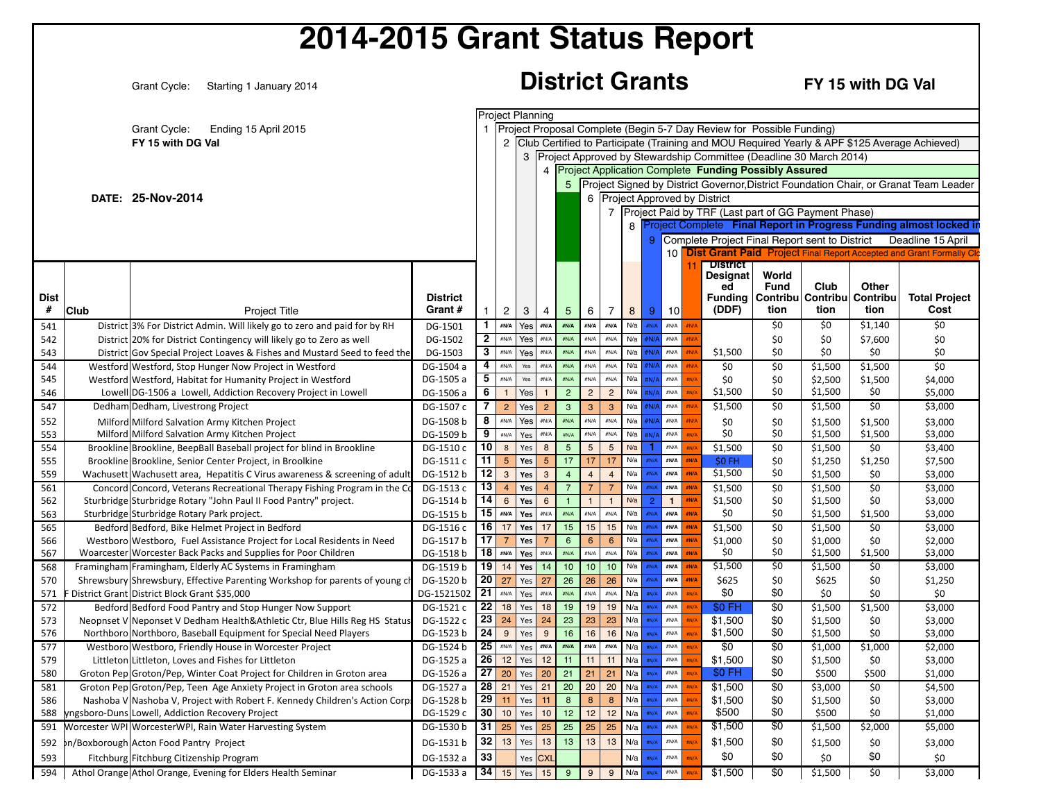|                  |      | 2014-2015 Grant Status Report                                                                                                   |                            |                |                                  |            |                                  |                                |                            |                                |                               |                |                                       |      |                                                                     |                                                                       |                                                                      |                           |                                                                                                                                           |
|------------------|------|---------------------------------------------------------------------------------------------------------------------------------|----------------------------|----------------|----------------------------------|------------|----------------------------------|--------------------------------|----------------------------|--------------------------------|-------------------------------|----------------|---------------------------------------|------|---------------------------------------------------------------------|-----------------------------------------------------------------------|----------------------------------------------------------------------|---------------------------|-------------------------------------------------------------------------------------------------------------------------------------------|
|                  |      | Grant Cycle:<br>Starting 1 January 2014                                                                                         |                            |                |                                  |            |                                  |                                |                            |                                |                               |                | <b>District Grants</b>                |      |                                                                     |                                                                       |                                                                      | FY 15 with DG Val         |                                                                                                                                           |
|                  |      | <b>Grant Cycle:</b><br>Ending 15 April 2015                                                                                     |                            |                |                                  |            | <b>Project Planning</b>          |                                |                            |                                |                               |                |                                       |      |                                                                     | Project Proposal Complete (Begin 5-7 Day Review for Possible Funding) |                                                                      |                           |                                                                                                                                           |
|                  |      | FY 15 with DG Val                                                                                                               |                            |                |                                  |            |                                  |                                |                            |                                |                               |                |                                       |      |                                                                     | 4 Project Application Complete Funding Possibly Assured               | 3 Project Approved by Stewardship Committee (Deadline 30 March 2014) |                           | 2 Club Certified to Participate (Training and MOU Required Yearly & APF \$125 Average Achieved)                                           |
|                  |      | DATE: 25-Nov-2014                                                                                                               |                            |                |                                  |            |                                  |                                |                            |                                |                               |                | 6 Project Approved by District        |      |                                                                     |                                                                       |                                                                      |                           | 5 Project Signed by District Governor, District Foundation Chair, or Granat Team Leader                                                   |
|                  |      |                                                                                                                                 |                            |                |                                  |            |                                  |                                |                            |                                |                               |                |                                       |      |                                                                     |                                                                       | 7 Project Paid by TRF (Last part of GG Payment Phase)                |                           | 8 Project Complete Final Report in Progress Funding almost locked in                                                                      |
|                  |      |                                                                                                                                 |                            |                |                                  |            |                                  |                                |                            |                                |                               | 9              |                                       |      |                                                                     |                                                                       |                                                                      |                           | Complete Project Final Report sent to District Deadline 15 April<br>10 Dist Grant Paid Project Final Report Accepted and Grant Formally C |
| <b>Dist</b><br># | Club | <b>Project Title</b>                                                                                                            | <b>District</b><br>Grant # | 1              | $\overline{2}$                   | 3          | 4                                | 5                              | 6                          | $\overline{7}$                 | 8                             | 9              | 10                                    |      | <b>District</b><br><b>Designat</b><br>ed<br><b>Funding</b><br>(DDF) | World<br><b>Fund</b><br>tion                                          | Club<br>Contribu Contribu<br>tion                                    | Other<br>Contribu<br>tion | <b>Total Project</b><br>Cost                                                                                                              |
| 541              |      | District 3% For District Admin. Will likely go to zero and paid for by RH                                                       | DG-1501                    | $\mathbf{1}$   | #N/A                             | Yes        | #N/A                             | #N/A                           | #N/A                       | #N/A                           | N/a                           |                | $\# \mathsf{N}/\mathsf{A}$            |      |                                                                     | \$0                                                                   | \$0                                                                  | \$1,140                   | \$0                                                                                                                                       |
| 542              |      | District 20% for District Contingency will likely go to Zero as well                                                            | DG-1502                    | $\mathbf{2}$   | $\#N/A$                          | Yes        | $\#N/A$                          | #N/A                           | #N/A                       | $\#N/A$                        | N/a                           | #N/A           | $\# \mathsf{N}/\mathsf{A}$            |      |                                                                     | \$0                                                                   | \$0                                                                  | \$7,600                   | \$0                                                                                                                                       |
| 543              |      | District Gov Special Project Loaves & Fishes and Mustard Seed to feed the                                                       | DG-1503                    | $\mathbf{3}$   | $\#N/A$                          | Yes        | #N/A                             | #N/A                           | #N/A                       | $\#N/A$                        | N/a                           | #N/A           | $\#N/A$                               |      | \$1,500                                                             | \$0                                                                   | \$0                                                                  | \$0                       | \$0                                                                                                                                       |
| 544              |      | Westford Westford, Stop Hunger Now Project in Westford                                                                          | DG-1504 a                  | 4              | $\#N/A$                          | Yes        | $\#N/A$                          | #N/A                           | #N/A                       | #N/A                           | N/a                           |                | $\#N/A$                               |      | \$0                                                                 | \$0                                                                   | \$1,500                                                              | \$1,500                   | \$0                                                                                                                                       |
| 545              |      | Westford Westford, Habitat for Humanity Project in Westford                                                                     | DG-1505 a                  | 5<br>6         | $\#N/A$<br>$\overline{1}$        | Yes        | $\#N/A$                          | #N/A                           | #N/A                       | $\#N/A$                        | N/a<br>N/a                    | #N/A           | $\# \mathsf{N}/\mathsf{A}$<br>#N/A    |      | \$0<br>\$1,500                                                      | \$0<br>\$0                                                            | \$2,500<br>\$1,500                                                   | \$1,500<br>\$0            | \$4,000                                                                                                                                   |
| 546<br>547       |      | Lowell DG-1506 a Lowell, Addiction Recovery Project in Lowell<br>Dedham Dedham, Livestrong Project                              | DG-1506 a<br>DG-1507 c     | $\overline{7}$ | $\overline{2}$                   | Yes<br>Yes | $\overline{1}$<br>$\overline{2}$ | $\overline{2}$<br>$\mathbf{3}$ | $\overline{2}$<br>3        | $\overline{2}$<br>$\mathbf{3}$ | N/a                           | #N/A           | $\# \mathsf{N}/\mathsf{A}$            |      | \$1,500                                                             | \$0                                                                   | \$1,500                                                              | \$0                       | \$5,000<br>\$3,000                                                                                                                        |
| 552              |      | Milford Milford Salvation Army Kitchen Project                                                                                  | DG-1508 b                  | 8              | #N/A                             | Yes        | #N/A                             | #N/A                           | #N/A                       | #N/A                           | N/a                           |                | #N/A                                  | ≝N/  | \$0                                                                 | \$0                                                                   | \$1,500                                                              | \$1,500                   | \$3,000                                                                                                                                   |
| 553              |      | Milford Milford Salvation Army Kitchen Project                                                                                  | DG-1509 b                  | 9              | #N/A                             | Yes        | $\#N/A$                          | #N/A                           | #N/A                       | $\#N/A$                        | N/a                           |                | $\# \mathsf{N}/\mathsf{A}$            |      | \$0                                                                 | \$0                                                                   | \$1,500                                                              | \$1,500                   | \$3,000                                                                                                                                   |
| 554              |      | Brookline Brookline, BeepBall Baseball project for blind in Brookline                                                           | DG-1510 c                  | 10             | $\boldsymbol{8}$                 | Yes        | 8                                | $5\phantom{.0}$                | $\sqrt{5}$                 | $5\overline{)}$                | N/a                           |                | #N/A                                  |      | \$1,500                                                             | \$0                                                                   | \$1,500                                                              | \$0                       | \$3,400                                                                                                                                   |
| 555              |      | Brookline Brookline, Senior Center Project, in Broolkine                                                                        | DG-1511 c                  | 11             | $5\phantom{.}$                   | Yes        | $5\phantom{.0}$                  | 17                             | 17                         | 17                             | N/a                           |                | #N/A                                  |      | \$0 FH                                                              | \$0                                                                   | \$1,250                                                              | \$1,250                   | \$7,500                                                                                                                                   |
| 559              |      | Wachusett Wachusett area, Hepatitis C Virus awareness & screening of adult                                                      | DG-1512 b                  | 12             | $\mathsf 3$                      | Yes        | $\mathbf{3}$                     | $\overline{4}$                 | $\overline{4}$             | $\overline{4}$                 | N/a                           | #N/A           | #N/A                                  | #N/A | \$1,500                                                             | \$0                                                                   | \$1,500                                                              | \$0                       | \$3,000                                                                                                                                   |
| 561              |      | Concord Concord, Veterans Recreational Therapy Fishing Program in the Co                                                        | DG-1513 c<br>DG-1514 b     | 13 <br> 14     | $\overline{4}$<br>$6\phantom{1}$ | Yes<br>Yes | $\overline{4}$<br>6              | $\overline{7}$                 | $\mathbf{1}$               | $\overline{7}$<br>$\mathbf{1}$ | N/a<br>N/a                    | $\overline{2}$ | #N/A<br>$\mathbf{1}$                  | ∉N// | \$1,500                                                             | \$0                                                                   | \$1,500                                                              | \$0                       | \$3,000                                                                                                                                   |
| 562<br>563       |      | Sturbridge Sturbridge Rotary "John Paul II Food Pantry" project.<br>Sturbridge Sturbridge Rotary Park project.                  | DG-1515 b                  |                | $15$ #N/A                        | Yes        | $\#N/A$                          | #N/A                           | $\#N/A$                    | $\#N/A$                        | N/a                           | #N/A           | #N/A                                  | #N/A | \$1,500<br>\$0                                                      | \$0<br>\$0                                                            | \$1,500<br>\$1,500                                                   | \$0<br>\$1,500            | \$3,000<br>\$3,000                                                                                                                        |
| 565              |      | Bedford Bedford, Bike Helmet Project in Bedford                                                                                 | DG-1516 c                  | 16             | 17                               | Yes        | 17                               | 15                             | 15                         | 15 <sub>15</sub>               | N/a                           |                | #N/A                                  |      | \$1,500                                                             | \$0                                                                   | \$1,500                                                              | \$0                       | \$3,000                                                                                                                                   |
| 566              |      | Westboro Westboro, Fuel Assistance Project for Local Residents in Need                                                          | DG-1517 b                  | 17             | $\overline{7}$                   | Yes        | $\overline{7}$                   | $6\phantom{1}$                 | $6\overline{6}$            | $6\overline{6}$                | N/a                           | #N/A           | #N/A                                  | ∉N/A | \$1,000                                                             | \$0                                                                   | \$1,000                                                              | \$0                       | \$2,000                                                                                                                                   |
| 567              |      | Woarcester Worcester Back Packs and Supplies for Poor Children                                                                  | DG-1518 b                  |                | $18$ #N/A                        | Yes        | $\#N/A$                          | #N/A                           | #N/A                       | $\# \mathsf{N}/\mathsf{A}$     | N/a                           |                | #N/A                                  | #N/A | \$0                                                                 | \$0                                                                   | \$1,500                                                              | \$1,500                   | \$3,000                                                                                                                                   |
| 568              |      | Framingham Framingham, Elderly AC Systems in Framingham                                                                         | DG-1519 b                  | 19             |                                  | $14$ Yes   | 14                               | 10                             | 10                         | 10 <sup>1</sup>                | N/a                           | #N/A           | #N/A                                  |      | \$1,500                                                             | \$0                                                                   | \$1,500                                                              | \$0                       | \$3,000                                                                                                                                   |
| 570              |      | Shrewsbury Shrewsbury, Effective Parenting Workshop for parents of young c                                                      | DG-1520 b                  | 20             | 27                               | Yes        | 27<br>$\#N/A$                    | 26<br>#N/A                     | $\overline{26}$<br>$\#N/A$ | 26<br>$\#N/A$                  | N/a                           | #N/A           | #N/A                                  | #N/A | \$625<br>\$0                                                        | \$0<br>\$0                                                            | \$625                                                                | \$0                       | \$1,250                                                                                                                                   |
| 571<br>572       |      | F District Grant District Block Grant \$35,000<br>Bedford Bedford Food Pantry and Stop Hunger Now Support                       | DG-1521502<br>DG-1521 c    |                | $21$ #N/A                        | Yes        | 22 18 Yes 18                     | 19                             | 19                         |                                | N/a<br>$19$ N/a $\frac{m}{A}$ |                | $\#N/A$<br>#N/A                       |      |                                                                     | \$0                                                                   | \$0<br>\$1,500                                                       | \$0<br>\$1,500            | \$0<br>\$3,000                                                                                                                            |
| 573              |      | Neopnset V Neponset V Dedham Health&Athletic Ctr, Blue Hills Reg HS Status                                                      | DG-1522 c                  |                | $23 \mid 24 \mid$ Yes            |            | 24                               | 23                             | 23                         |                                | $23$ N/a                      | #N/A           | $\# \mathsf{N}/\mathsf{A}$            | #N/A | PO FH<br>\$1,500                                                    | \$0                                                                   | \$1,500                                                              | \$0                       | \$3,000                                                                                                                                   |
| 576              |      | Northboro Northboro, Baseball Equipment for Special Need Players                                                                | DG-1523 b                  |                | $24 \mid 9$                      | Yes        | 9                                | 16                             | 16                         |                                | $16$ N/a                      |                | $\# \mathsf{N}/\mathsf{A}$            |      | \$1,500                                                             | \$0                                                                   | \$1,500                                                              | \$0                       | \$3,000                                                                                                                                   |
| 577              |      | Westboro Westboro, Friendly House in Worcester Project                                                                          | DG-1524 b                  |                |                                  |            | $25$ #N/A Yes #N/A #N/A          |                                | #N/A                       |                                | $\#N/A$ $N/a$ $\frac{N}{A}$   |                | $\#N/A$                               |      | \$0                                                                 | \$0                                                                   | \$1,000                                                              | \$1,000                   | \$2,000                                                                                                                                   |
| 579              |      | Littleton Littleton, Loves and Fishes for Littleton                                                                             | DG-1525 a                  |                | 26 12 Yes                        |            | 12                               | 11                             | 11                         | 11                             | N/a                           |                | $\# \mathsf{N}/\mathsf{A}$            |      | \$1,500                                                             | \$0                                                                   | \$1,500                                                              | \$0                       | \$3,000                                                                                                                                   |
| 580              |      | Groton Pep Groton/Pep, Winter Coat Project for Children in Groton area                                                          | DG-1526 a                  | 27             | 20                               | Yes        | 20                               | 21                             | 21                         | 21                             | N/a                           |                | $\# \mathsf{N}/\mathsf{A}$            |      | \$0 FH                                                              | \$0                                                                   | \$500                                                                | \$500                     | \$1,000                                                                                                                                   |
| 581              |      | Groton Pep Groton/Pep, Teen Age Anxiety Project in Groton area schools                                                          | DG-1527 a                  |                | $28$ 21 Yes<br>$29$ 11 Yes       |            | 21<br>11                         | 20<br>8                        | 20<br>8                    | 8 <sup>1</sup>                 | $20$ N/a<br>N/a               | #N/A           | $\#N/A$<br>$\# \mathsf{N}/\mathsf{A}$ |      | \$1,500<br>\$1,500                                                  | $\frac{1}{20}$                                                        | \$3,000                                                              | \$0                       | \$4,500                                                                                                                                   |
| 586<br>588       |      | Nashoba V Nashoba V, Project with Robert F. Kennedy Children's Action Corp.<br>yngsboro-Duns Lowell, Addiction Recovery Project | DG-1528 b<br>DG-1529 c     | 30             |                                  | $10$ Yes   | 10 <sup>1</sup>                  | 12                             | 12                         |                                | $12$ N/a                      |                | $\#N/A$                               |      | \$500                                                               | \$0<br>\$0                                                            | \$1,500<br>\$500                                                     | \$0<br>\$0                | \$3,000<br>\$1,000                                                                                                                        |
| 591              |      | Worcester WPI WorcesterWPI, Rain Water Harvesting System                                                                        | DG-1530 b                  | 31             |                                  | $25$ Yes   | 25                               | 25                             | 25                         | 25                             | N/a                           | #N/A           | $\#N/A$                               |      | \$1,500                                                             | \$0                                                                   | \$1,500                                                              | \$2,000                   | \$5,000                                                                                                                                   |
| 592              |      | pn/Boxborough Acton Food Pantry Project                                                                                         | DG-1531 b                  | 32             |                                  | $13$ Yes   | 13                               | 13                             | 13                         | 13                             | N/a                           | HN/A           | $\#N/A$                               |      | \$1,500                                                             | \$0                                                                   | \$1,500                                                              | \$0                       | \$3,000                                                                                                                                   |
| 593              |      | Fitchburg Fitchburg Citizenship Program                                                                                         | DG-1532 a                  | 33             |                                  |            | Yes CXL                          |                                |                            |                                | N/a                           | #N/A           | $\#N/A$                               |      | \$0                                                                 | \$0                                                                   | \$0                                                                  | \$0                       | \$0                                                                                                                                       |
| 594              |      | Athol Orange Athol Orange, Evening for Elders Health Seminar                                                                    | DG-1533 a                  |                |                                  |            | $34$ 15 Yes 15                   | 9                              | 9                          |                                | $9$ N/a $m/A$                 |                | $\#N/A$                               |      | \$1,500                                                             | \$0                                                                   | \$1,500                                                              | \$0                       | \$3,000                                                                                                                                   |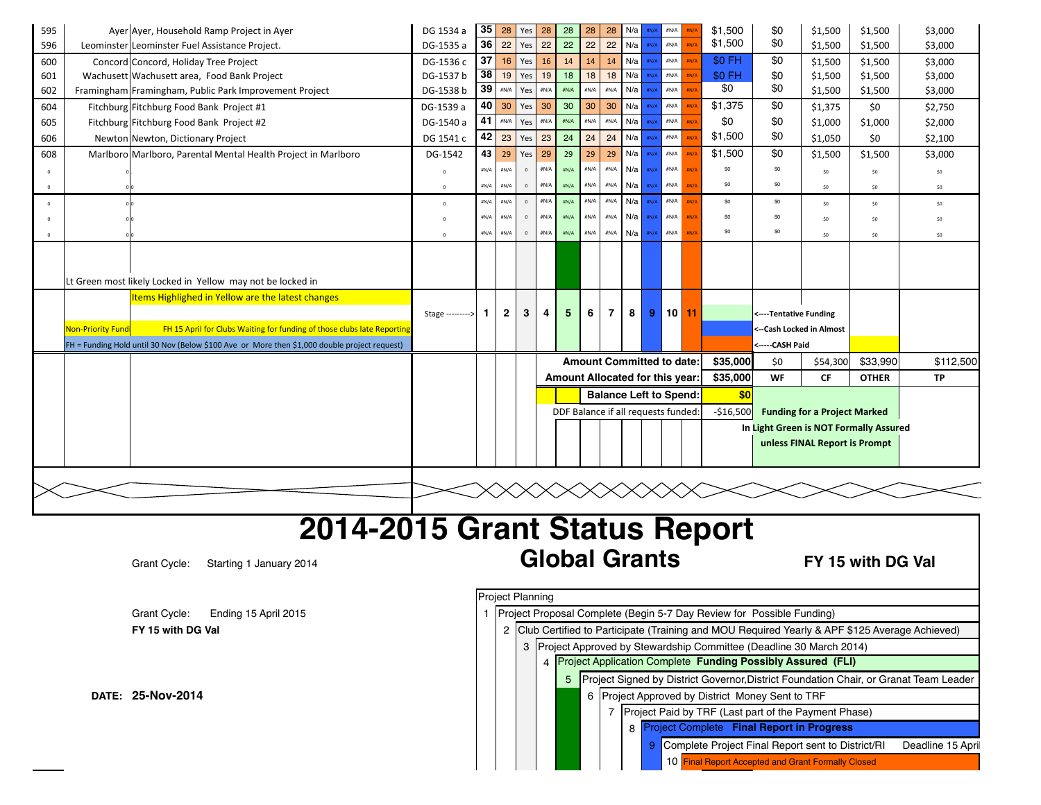| 595        |                   | Ayer Ayer, Household Ramp Project in Ayer                                                    | DG 1534 a        | 35   | 28              | Yes          | 28   | 28                                  | 28   | 28                               | N/a | #N/A        | $\# \mathsf{N}/\mathsf{A}$ |             | \$1,500        | \$0                       | \$1,500                                | \$1,500      | \$3,000   |
|------------|-------------------|----------------------------------------------------------------------------------------------|------------------|------|-----------------|--------------|------|-------------------------------------|------|----------------------------------|-----|-------------|----------------------------|-------------|----------------|---------------------------|----------------------------------------|--------------|-----------|
| 596        |                   | Leominster Leominster Fuel Assistance Project.                                               | DG-1535 a        | 36   | 22              | Yes          | 22   | 22                                  | 22   | 22                               | N/a | #N/A        | $\#N/A$                    |             | \$1,500        | \$0                       | \$1,500                                | \$1,500      | \$3,000   |
| 600        |                   | Concord Concord, Holiday Tree Project                                                        | DG-1536 c        | 37   | 16              | Yes          | 16   | 14                                  | 14   | 14                               | N/a | #N/A        | $\#N/A$                    |             | \$0 FH         | \$0                       | \$1,500                                | \$1,500      | \$3,000   |
| 601        |                   | Wachusett Wachusett area, Food Bank Project                                                  | DG-1537 b        | 38   | 19              | Yes          | 19   | 18                                  | 18   | 18                               | N/a | #N/A        | $\#N/A$                    |             | \$0 FH         | \$0                       | \$1,500                                | \$1,500      | \$3,000   |
| 602        |                   | Framingham Framingham, Public Park Improvement Project                                       | DG-1538 b        |      | $39$ $\sqrt{3}$ | Yes          | #N/A | #N/A                                | #N/A | #N/A                             | N/a | ±N//        | $\# \mathsf{N}/\mathsf{A}$ |             | \$0            | \$0                       | \$1,500                                | \$1,500      | \$3,000   |
| 604        |                   | Fitchburg Fitchburg Food Bank Project #1                                                     | DG-1539 a        | 40   | 30              | Yes          | 30   | 30                                  | 30   | 30                               | N/a |             | $\#N/A$                    |             | \$1,375        | \$0                       | \$1,375                                | \$0          | \$2,750   |
| 605        |                   | Fitchburg Fitchburg Food Bank Project #2                                                     | DG-1540 a        | 41   | #N/A            | Yes          | #N/A | #N/A                                | #N/A | $\#N/A$                          | N/a | #N/A        | $\# \mathsf{N}/\mathsf{A}$ |             | \$0            | \$0                       | \$1,000                                | \$1,000      | \$2,000   |
| 606        |                   | Newton Newton, Dictionary Project                                                            | DG 1541 c        | 42   | 23              | Yes          | 23   | 24                                  | 24   | 24                               | N/a | <b>HN/A</b> | $\# \mathsf{N}/\mathsf{A}$ |             | \$1,500        | \$0                       | \$1,050                                | \$0          | \$2,100   |
| 608        |                   | Marlboro Marlboro, Parental Mental Health Project in Marlboro                                | DG-1542          | 43   | 29              | Yes          | 29   | 29                                  | 29   | 29                               | N/a | #N/A        | $\#N/A$                    |             | \$1,500        | \$0                       | \$1,500                                | \$1,500      | \$3,000   |
| $^{\circ}$ |                   |                                                                                              | $\mathbf{0}$     | #N/A | #N/A            | $\Omega$     | #N/A | #N/A                                | #N/A | #N/A                             | N/a | #N/A        | #N/A                       | #N/A        | \$0            | \$0                       | SO                                     | \$0          | \$0       |
| $\Omega$   |                   |                                                                                              | $\Omega$         | #N/A | #N/A            | $\circ$      | #N/A | #N/A                                | #N/A | #N/A                             | N/a | #N/A        | #N/A                       | #N/A        | \$0            | \$0                       | S0                                     | \$0          | \$0       |
| $\Omega$   |                   |                                                                                              | $\circ$          | #N/A | #N/A            | $\mathbf{0}$ | #N/A | #N/A                                | #N/A | #N/A                             | N/a | #N/A        | #N/A                       | H N/l       | \$0            | \$0                       | SO                                     | \$0          | \$0\$     |
|            |                   |                                                                                              | $\overline{0}$   | #N/A | #N/A            | $\circ$      | #N/A | #N/A                                | #N/A | #N/A                             | N/a | #N/A        | #N/A                       | <b>HN/A</b> | \$0            | \$0                       | SO                                     | \$0          | \$0       |
|            |                   |                                                                                              | $\overline{0}$   | #N/A | #N/A            | $\mathbf 0$  | #N/A | #N/A                                | #N/A | #N/A                             | N/a | #N/A        | #N/A                       | #N/A        | \$0            | \$0                       | SO                                     | \$0          | \$0       |
|            |                   |                                                                                              |                  |      |                 |              |      |                                     |      |                                  |     |             |                            |             |                |                           |                                        |              |           |
|            |                   |                                                                                              |                  |      |                 |              |      |                                     |      |                                  |     |             |                            |             |                |                           |                                        |              |           |
|            |                   | Lt Green most likely Locked in Yellow may not be locked in                                   |                  |      |                 |              |      |                                     |      |                                  |     |             |                            |             |                |                           |                                        |              |           |
|            |                   | Items Highlighed in Yellow are the latest changes                                            |                  |      |                 |              |      |                                     |      |                                  |     |             |                            |             |                |                           |                                        |              |           |
|            |                   |                                                                                              | Stage ---------> | 1.   | 2               | 3            | 4    | 5                                   | 6    | $\overline{7}$                   | 8   | 9           | $10$ 11                    |             |                | <----Tentative Funding    |                                        |              |           |
|            | Non-Priority Fund | FH 15 April for Clubs Waiting for funding of those clubs late Reporting                      |                  |      |                 |              |      |                                     |      |                                  |     |             |                            |             |                | <-- Cash Locked in Almost |                                        |              |           |
|            |                   | FH = Funding Hold until 30 Nov (Below \$100 Ave or More then \$1,000 double project request) |                  |      |                 |              |      |                                     |      |                                  |     |             |                            |             |                | <-----CASH Paid           |                                        |              |           |
|            |                   |                                                                                              |                  |      |                 |              |      |                                     |      | <b>Amount Committed to date:</b> |     |             |                            |             | \$35,000       | \$0                       | \$54,300                               | \$33,990     | \$112,500 |
|            |                   |                                                                                              |                  |      |                 |              |      | Amount Allocated for this year:     |      |                                  |     |             |                            |             | \$35,000       | <b>WF</b>                 | <b>CF</b>                              | <b>OTHER</b> | <b>TP</b> |
|            |                   |                                                                                              |                  |      |                 |              |      |                                     |      | <b>Balance Left to Spend:</b>    |     |             |                            |             | S <sub>0</sub> |                           |                                        |              |           |
|            |                   |                                                                                              |                  |      |                 |              |      | DDF Balance if all requests funded: |      |                                  |     |             |                            |             | $-$16,500$     |                           | <b>Funding for a Project Marked</b>    |              |           |
|            |                   |                                                                                              |                  |      |                 |              |      |                                     |      |                                  |     |             |                            |             |                |                           | In Light Green is NOT Formally Assured |              |           |
|            |                   |                                                                                              |                  |      |                 |              |      |                                     |      |                                  |     |             |                            |             |                |                           | unless FINAL Report is Prompt          |              |           |
|            |                   |                                                                                              |                  |      |                 |              |      |                                     |      |                                  |     |             |                            |             |                |                           |                                        |              |           |
|            |                   |                                                                                              |                  |      |                 |              |      |                                     |      |                                  |     |             |                            |             |                |                           |                                        |              |           |
|            |                   |                                                                                              |                  |      |                 |              |      |                                     |      |                                  |     |             |                            |             |                |                           |                                        |              |           |
|            |                   |                                                                                              |                  |      |                 |              |      |                                     |      |                                  |     |             |                            |             |                |                           |                                        |              |           |

## **2014-2015 Grant Status Report** Grant Cycle: Starting 1 January 2014 **Global Grants FY 15 with DG Val**

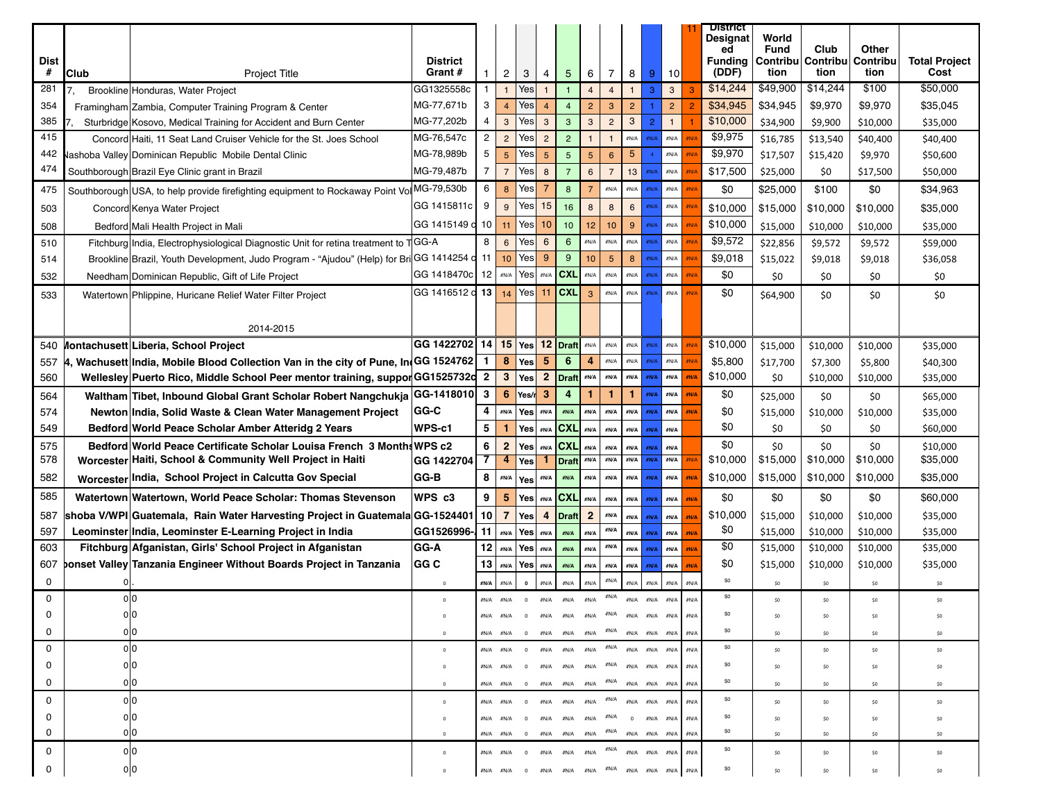| Dist<br>#<br><b>Club</b>                                                                                                                |
|-----------------------------------------------------------------------------------------------------------------------------------------|
| 281<br>Brookline Honduras, Water Project                                                                                                |
| 354                                                                                                                                     |
| Framingham Zambia, Computer Training Program & Center<br>385<br>Sturbridge Kosovo, Medical Training for Accident and Burn Center        |
| 415<br>Concord Haiti, 11 Seat Land Cruiser Vehicle for the St. Joes School                                                              |
| 442<br>ashoba Valley Dominican Republic Mobile Dental Clinic                                                                            |
| 474<br>Southborough Brazil Eye Clinic grant in Brazil                                                                                   |
|                                                                                                                                         |
| Southborough USA, to help provide firefighting equipment to Rockaway Point Vol MG-79,530b<br>475                                        |
| 503<br>Concord Kenya Water Project                                                                                                      |
| 508<br>Bedford Mali Health Project in Mali                                                                                              |
| Fitchburg India, Electrophysiological Diagnostic Unit for retina treatment to TGG-A<br>510                                              |
| Brookline Brazil, Youth Development, Judo Program - "Ajudou" (Help) for Bri GG 1414254 d 11 10 Yes 9 9 9 10 5<br>514                    |
| 532<br>Needham Dominican Republic, Gift of Life Project                                                                                 |
| 533<br>Watertown Phlippine, Huricane Relief Water Filter Project                                                                        |
|                                                                                                                                         |
|                                                                                                                                         |
| 540 Montachusett Liberia, School Project                                                                                                |
| , Wachusett│India, Mobile Blood Collection Van in the city of Pune, In(GG 1524762│ 1 │ <mark>8 │</mark> Yes│ 5 │ 6 │ 4 │ கூடி│ க<br>557 |
| Wellesley Puerto Rico, Middle School Peer mentor training, suppor GG1525732d 2 3 Yes 2 Draft MA   MA   MA   MA<br>560                   |
| Waltham Tibet, Inbound Global Grant Scholar Robert Nangchukja GG-1418010 3 6 Yes/ 3 4 1 1<br>564                                        |
| 574<br>Newton India, Solid Waste & Clean Water Management Project                                                                       |
| 549<br>Bedford World Peace Scholar Amber Atteridg 2 Years                                                                               |
| 575<br>Bedford World Peace Certificate Scholar Louisa French 3 Months WPS c2                                                            |
| 578<br>Worcester Haiti, School & Community Well Project in Haiti                                                                        |
| 582<br>Worcester India, School Project in Calcutta Gov Special                                                                          |
| 585<br>Watertown Watertown, World Peace Scholar: Thomas Stevenson                                                                       |
| shoba V/WPI Guatemala, Rain Water Harvesting Project in Guatemala GG-1524401 10 7   Yes 4   Draft 2   MA   MA  <br>587                  |
| 597<br>Leominster India, Leominster E-Learning Project in India                                                                         |
| 603<br>Fitchburg Afganistan, Girls' School Project in Afganistan                                                                        |
| 607 ponset Valley Tanzania Engineer Without Boards Project in Tanzania GG C                                                             |
|                                                                                                                                         |
|                                                                                                                                         |
|                                                                                                                                         |
|                                                                                                                                         |
|                                                                                                                                         |
|                                                                                                                                         |
|                                                                                                                                         |
|                                                                                                                                         |
|                                                                                                                                         |
|                                                                                                                                         |
|                                                                                                                                         |
|                                                                                                                                         |
|                                                                                                                                         |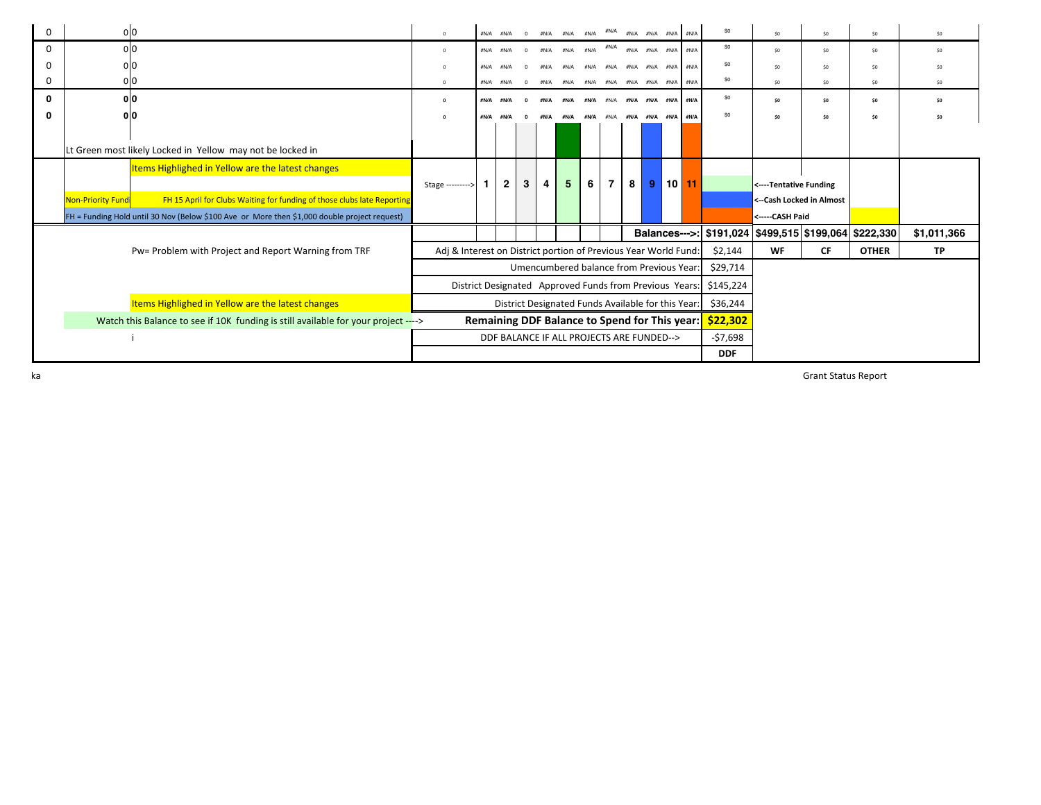| 0        | 0 0               |                                                                                              | $\mathbf{0}$                                                    | #N/A #N/A      | $\Omega$ |      | $\#N/A$ $\#N/A$ $\#N/A$                            |               | #N/A           |   | #N/A #N/A #N/A #N/A                |        |    | \$0                                                         | \$0                    | \$0                      | \$0          | \$0             |
|----------|-------------------|----------------------------------------------------------------------------------------------|-----------------------------------------------------------------|----------------|----------|------|----------------------------------------------------|---------------|----------------|---|------------------------------------|--------|----|-------------------------------------------------------------|------------------------|--------------------------|--------------|-----------------|
| $\Omega$ | olo               |                                                                                              | $\mathbf 0$                                                     | #N/A #N/A      | $\Omega$ | #N/A |                                                    | $#N/A$ $#N/A$ | #N/A           |   | #N/A #N/A #N/A #N/A                |        |    | \$0                                                         | \$0                    | SO                       | SO           | \$0             |
| 0        | olo               |                                                                                              |                                                                 | #N/A #N/A      |          |      | #N/A                                               | #N/A          | #N/A           |   | #N/A #N/A #N/A #N/A                |        |    | \$0                                                         | SO <sub>1</sub>        | SO                       | \$0          |                 |
| 0        | 이0                |                                                                                              | $\mathbf 0$                                                     | #N/A #N/A      |          | #N/A |                                                    |               |                |   | #N/A #N/A #N/A #N/A #N/A #N/A #N/A |        |    | \$0                                                         | \$0                    | \$0                      | \$0          | SO <sub>1</sub> |
| 0        | 0 0               |                                                                                              |                                                                 | #N/A #N/A      | $\Omega$ | #N/A | #N/A                                               | #N/A          | #N/A           |   | #N/A #N/A #N/A #N/A                |        |    | \$0                                                         | \$0                    | \$0                      | \$0          | \$0             |
| O        | 0lO               |                                                                                              |                                                                 | #N/A #N/A      | $\Omega$ |      | #N/A #N/A #N/A #N/A #N/A #N/A #N/A #N/A            |               |                |   |                                    |        |    | \$0                                                         | \$0                    | \$0                      | \$0          | \$0             |
|          |                   |                                                                                              |                                                                 |                |          |      |                                                    |               |                |   |                                    |        |    |                                                             |                        |                          |              |                 |
|          |                   | Lt Green most likely Locked in Yellow may not be locked in                                   |                                                                 |                |          |      |                                                    |               |                |   |                                    |        |    |                                                             |                        |                          |              |                 |
|          |                   | Items Highlighed in Yellow are the latest changes                                            |                                                                 |                |          |      |                                                    |               |                |   |                                    |        |    |                                                             |                        |                          |              |                 |
|          |                   |                                                                                              | Stage --------->                                                | $\overline{2}$ | 3        | 4    | 5 <sup>5</sup>                                     | 6             | $\overline{7}$ | 8 | 9                                  | l 10 l | 11 |                                                             | <----Tentative Funding |                          |              |                 |
|          | Non-Priority Fund | FH 15 April for Clubs Waiting for funding of those clubs late Reporting                      |                                                                 |                |          |      |                                                    |               |                |   |                                    |        |    |                                                             |                        | <--Cash Locked in Almost |              |                 |
|          |                   | FH = Funding Hold until 30 Nov (Below \$100 Ave or More then \$1,000 double project request) |                                                                 |                |          |      |                                                    |               |                |   |                                    |        |    |                                                             | <-----CASH Paid        |                          |              |                 |
|          |                   |                                                                                              |                                                                 |                |          |      |                                                    |               |                |   |                                    |        |    | Balances--->: \$191,024   \$499,515   \$199,064   \$222,330 |                        |                          |              | \$1,011,366     |
|          |                   | Pw= Problem with Project and Report Warning from TRF                                         | Adj & Interest on District portion of Previous Year World Fund: |                |          |      |                                                    |               |                |   |                                    |        |    | \$2,144                                                     | <b>WF</b>              | <b>CF</b>                | <b>OTHER</b> | <b>TP</b>       |
|          |                   |                                                                                              |                                                                 |                |          |      | Umencumbered balance from Previous Year:           |               |                |   |                                    |        |    | \$29,714                                                    |                        |                          |              |                 |
|          |                   |                                                                                              | District Designated Approved Funds from Previous Years:         |                |          |      |                                                    |               |                |   |                                    |        |    | \$145,224                                                   |                        |                          |              |                 |
|          |                   | Items Highlighed in Yellow are the latest changes                                            |                                                                 |                |          |      | District Designated Funds Available for this Year: |               |                |   |                                    |        |    | \$36,244                                                    |                        |                          |              |                 |
|          |                   | Watch this Balance to see if 10K funding is still available for your project ---->           |                                                                 |                |          |      | Remaining DDF Balance to Spend for This year:      |               |                |   |                                    |        |    | \$22,302                                                    |                        |                          |              |                 |
|          |                   |                                                                                              |                                                                 |                |          |      | DDF BALANCE IF ALL PROJECTS ARE FUNDED-->          |               |                |   |                                    |        |    | -\$7,698                                                    |                        |                          |              |                 |
|          |                   |                                                                                              |                                                                 |                |          |      |                                                    |               |                |   |                                    |        |    | <b>DDF</b>                                                  |                        |                          |              |                 |

Corinne Braciska Grant Status Report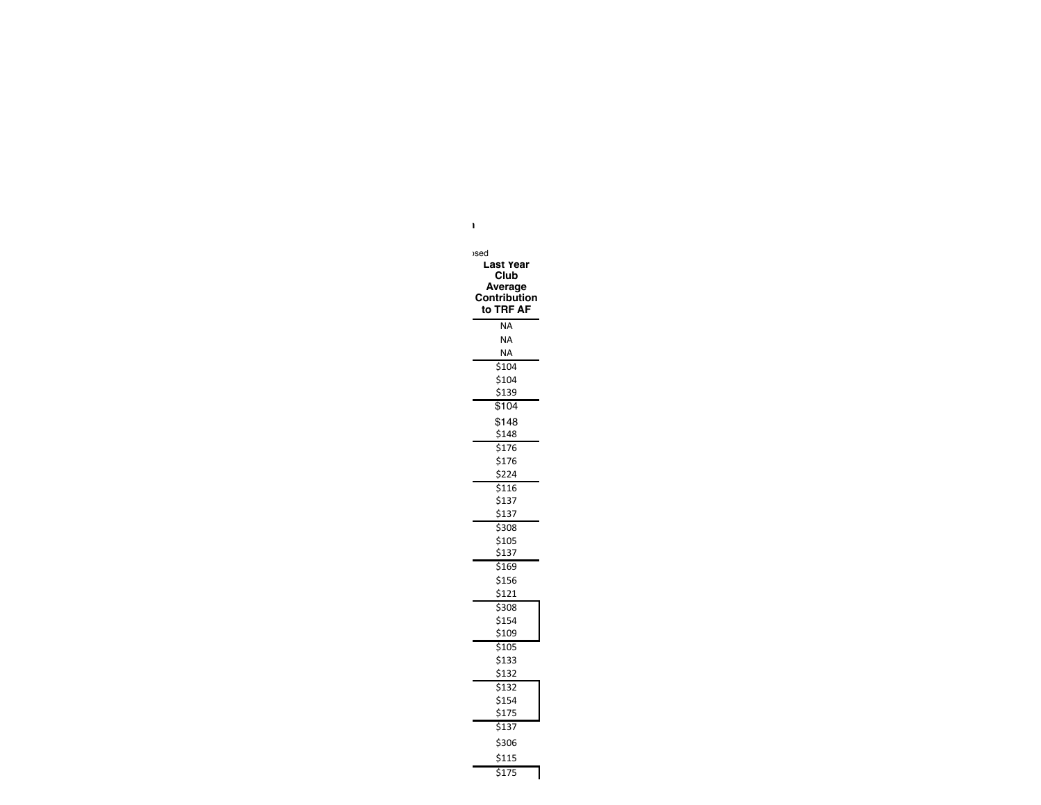| <b>sed</b><br>Last Year<br>Club<br>Average<br>Contribution<br>to TRF AF |
|-------------------------------------------------------------------------|
| <b>NA</b>                                                               |
| <b>NA</b>                                                               |
| <b>NA</b>                                                               |
| \$104                                                                   |
| \$104                                                                   |
| \$139                                                                   |
| \$104                                                                   |
| \$148                                                                   |
| \$148                                                                   |
| \$176                                                                   |
| \$176                                                                   |
| \$224                                                                   |
| \$116                                                                   |
| \$137                                                                   |
| \$137                                                                   |
| \$308                                                                   |
| \$105                                                                   |
| \$137                                                                   |
| \$169                                                                   |
| \$156                                                                   |
| \$121                                                                   |
| \$308                                                                   |
| \$154                                                                   |
| \$109                                                                   |
| \$105                                                                   |
| \$133                                                                   |
| \$132                                                                   |
| \$132                                                                   |
| \$154                                                                   |
| \$175                                                                   |
| \$137                                                                   |
| \$306                                                                   |
| \$115                                                                   |
| \$175                                                                   |

Project Complete **Final Report in Progress Funding almost locked in**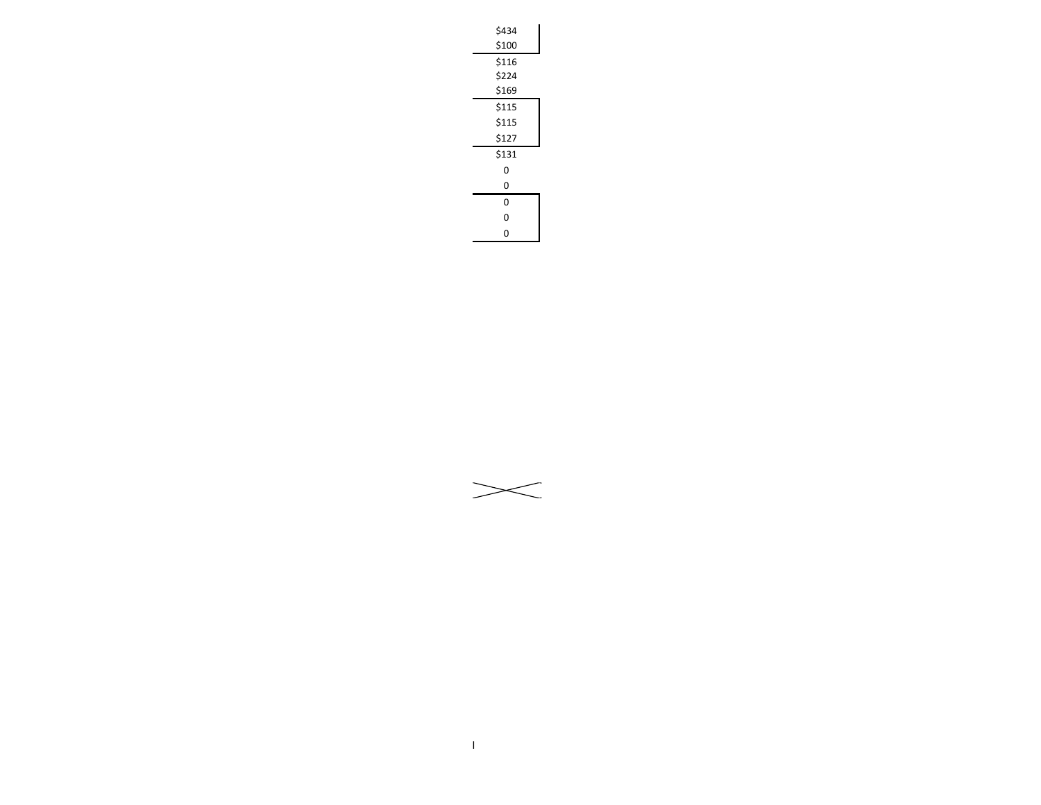| \$434 |  |
|-------|--|
| \$100 |  |
| \$116 |  |
| \$224 |  |
| \$169 |  |
| \$115 |  |
| \$115 |  |
| \$127 |  |
| \$131 |  |
| 0     |  |
| 0     |  |
| 0     |  |
| 0     |  |
| 0     |  |
|       |  |

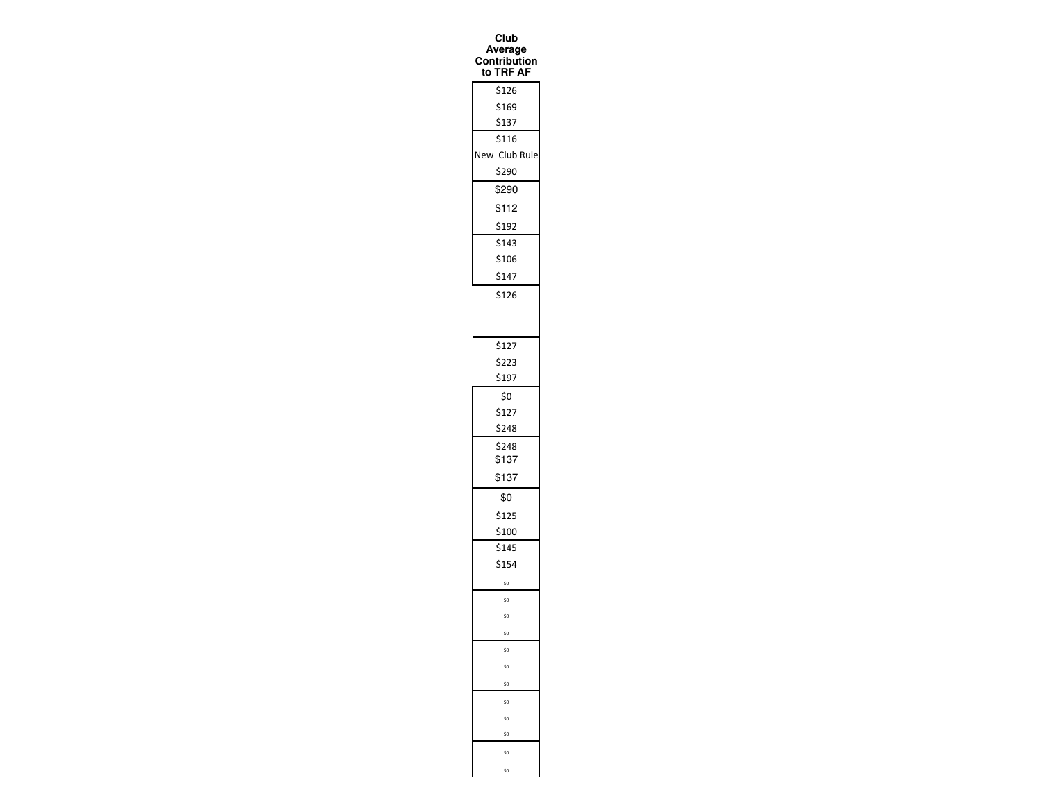| Club<br>verage<br>N<br>C<br>∶ontribution<br>to TRF AF |
|-------------------------------------------------------|
| \$126                                                 |
| \$169                                                 |
| \$137                                                 |
| \$116                                                 |
|                                                       |
| New Club Rule                                         |
| \$290                                                 |
| \$290                                                 |
| \$112                                                 |
| \$192                                                 |
| \$143                                                 |
| \$106                                                 |
| \$147                                                 |
| \$126                                                 |
|                                                       |
| \$127                                                 |
| \$223                                                 |
| \$197                                                 |
| \$0                                                   |
| \$127                                                 |
| \$248                                                 |
| \$248                                                 |
| \$137                                                 |
| \$137                                                 |
| \$0                                                   |
| \$125                                                 |
| \$100                                                 |
| \$145                                                 |
| \$154                                                 |
| \$0                                                   |
| \$0                                                   |
| \$0                                                   |
| \$0                                                   |
| \$O                                                   |
| \$0                                                   |
| \$0                                                   |
| \$0                                                   |
| \$0                                                   |
| \$0                                                   |
| \$0                                                   |
| \$0                                                   |